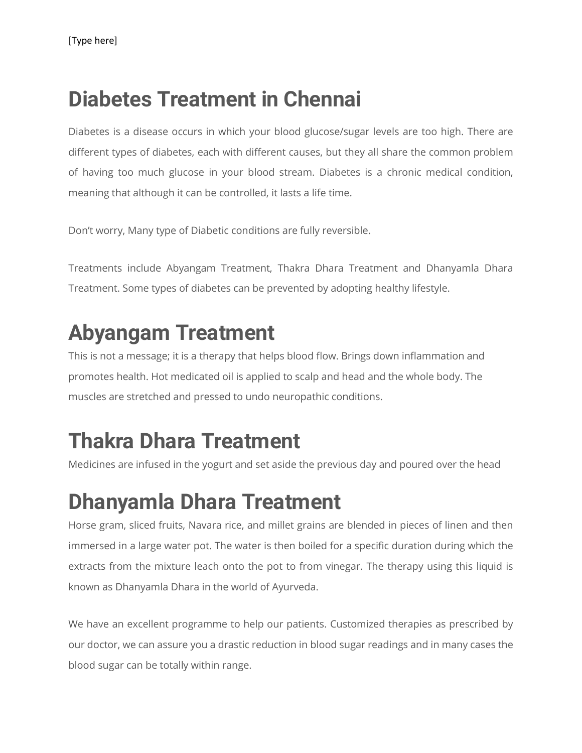## **Diabetes Treatment in Chennai**

Diabetes is a disease occurs in which your blood glucose/sugar levels are too high. There are different types of diabetes, each with different causes, but they all share the common problem of having too much glucose in your blood stream. Diabetes is a chronic medical condition, meaning that although it can be controlled, it lasts a life time.

Don't worry, Many type of Diabetic conditions are fully reversible.

Treatments include Abyangam Treatment, Thakra Dhara Treatment and Dhanyamla Dhara Treatment. Some types of diabetes can be prevented by adopting healthy lifestyle.

#### **Abyangam Treatment**

This is not a message; it is a therapy that helps blood flow. Brings down inflammation and promotes health. Hot medicated oil is applied to scalp and head and the whole body. The muscles are stretched and pressed to undo neuropathic conditions.

## **Thakra Dhara Treatment**

Medicines are infused in the yogurt and set aside the previous day and poured over the head

# **Dhanyamla Dhara Treatment**

Horse gram, sliced fruits, Navara rice, and millet grains are blended in pieces of linen and then immersed in a large water pot. The water is then boiled for a specific duration during which the extracts from the mixture leach onto the pot to from vinegar. The therapy using this liquid is known as Dhanyamla Dhara in the world of Ayurveda.

We have an excellent programme to help our patients. Customized therapies as prescribed by our doctor, we can assure you a drastic reduction in blood sugar readings and in many cases the blood sugar can be totally within range.